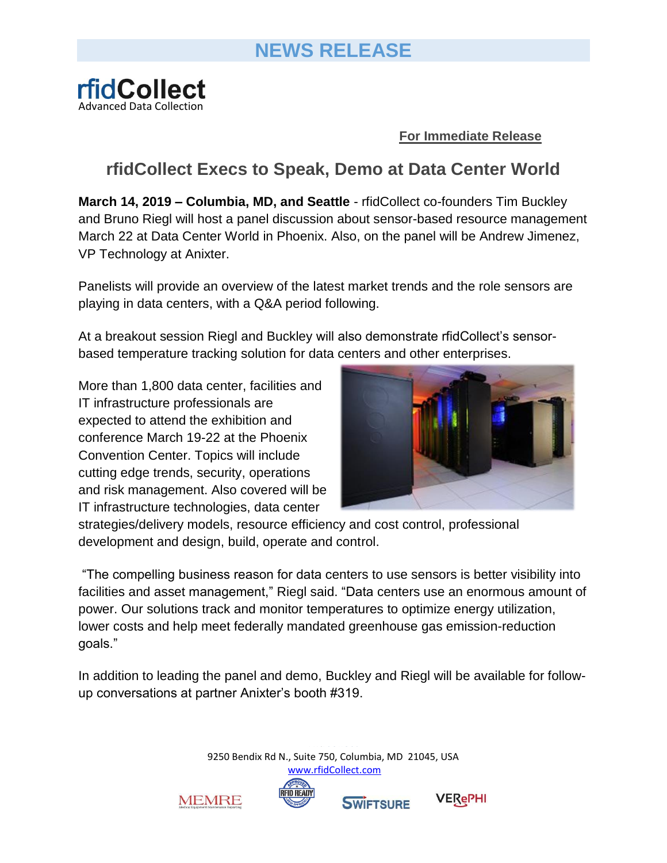

**For Immediate Release**

## **rfidCollect Execs to Speak, Demo at Data Center World**

**March 14, 2019 – Columbia, MD, and Seattle** - rfidCollect co-founders Tim Buckley and Bruno Riegl will host a panel discussion about sensor-based resource management March 22 at Data Center World in Phoenix. Also, on the panel will be Andrew Jimenez, VP Technology at Anixter.

Panelists will provide an overview of the latest market trends and the role sensors are playing in data centers, with a Q&A period following.

At a breakout session [Riegl](https://tmt.knect365.com/data-center-world/speakers/bruno-riegl) and [Buckley](https://tmt.knect365.com/data-center-world/speakers/tim-buckley) will also demonstrate rfidCollect's sensorbased temperature tracking solution for data centers and other enterprises.

More than 1,800 data center, facilities and IT infrastructure professionals are expected to attend the exhibition and conference March 19-22 at the Phoenix Convention Center. Topics will include cutting edge trends, security, operations and risk management. Also covered will be IT infrastructure technologies, data center



strategies/delivery models, resource efficiency and cost control, professional development and design, build, operate and control.

"The compelling business reason for data centers to use sensors is better visibility into facilities and asset management," Riegl said. "Data centers use an enormous amount of power. Our solutions track and monitor temperatures to optimize energy utilization, lower costs and help meet federally mandated greenhouse gas emission-reduction goals."

In addition to leading the panel and demo, Buckley and Riegl will be available for followup conversations at partner Anixter's booth #319.

> 9250 Bendix Rd N., Suite 750, Columbia, MD 21045, USA [www.rfidCollect.com](http://www.rfidcollect.com/)